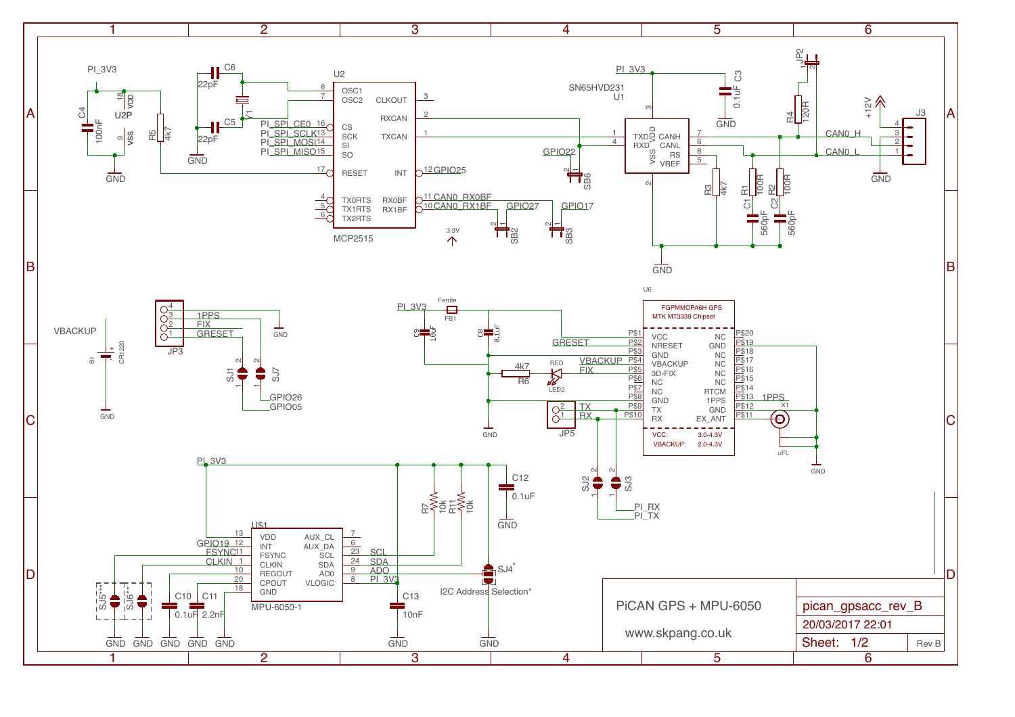